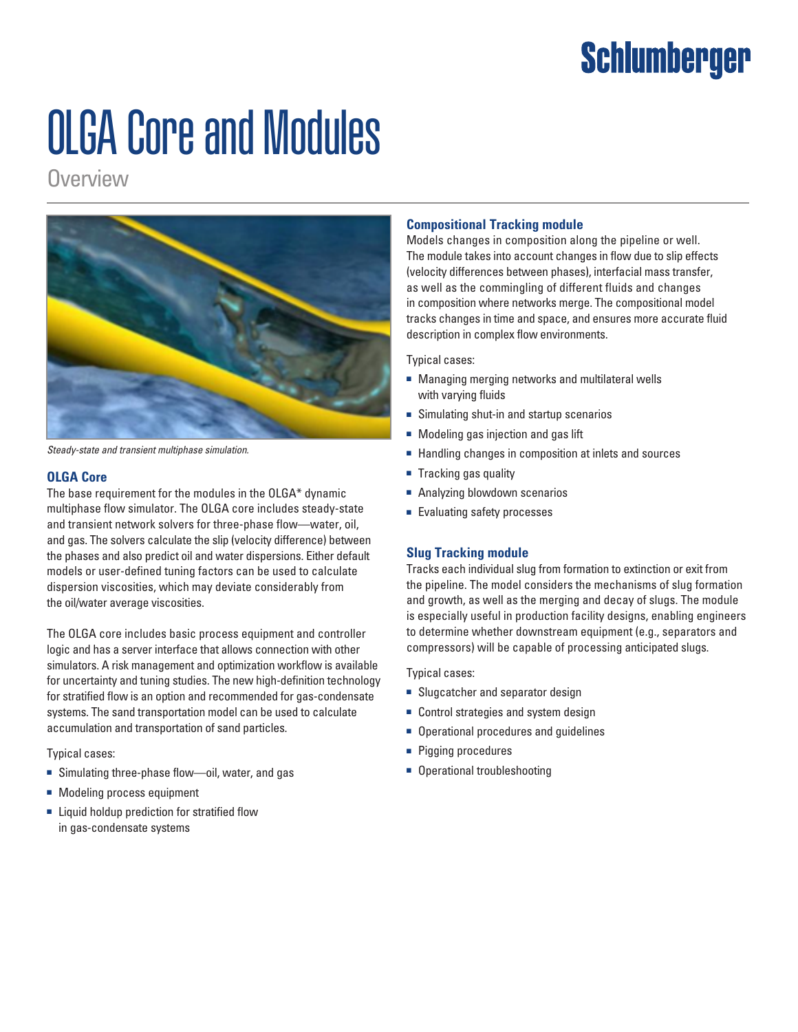# **Schlumberger**

# OLGA Core and Modules

**Overview** 



*Steady-state and transient multiphase simulation.*

# **OLGA Core**

The base requirement for the modules in the OLGA\* dynamic multiphase flow simulator. The OLGA core includes steady-state and transient network solvers for three-phase flow—water, oil, and gas. The solvers calculate the slip (velocity difference) between the phases and also predict oil and water dispersions. Either default models or user-defined tuning factors can be used to calculate dispersion viscosities, which may deviate considerably from the oil/water average viscosities.

The OLGA core includes basic process equipment and controller logic and has a server interface that allows connection with other simulators. A risk management and optimization workflow is available for uncertainty and tuning studies. The new high-definition technology for stratified flow is an option and recommended for gas-condensate systems. The sand transportation model can be used to calculate accumulation and transportation of sand particles.

Typical cases:

- Simulating three-phase flow—oil, water, and gas
- Modeling process equipment
- Liquid holdup prediction for stratified flow in gas-condensate systems

# **Compositional Tracking module**

Models changes in composition along the pipeline or well. The module takes into account changes in flow due to slip effects (velocity differences between phases), interfacial mass transfer, as well as the commingling of different fluids and changes in composition where networks merge. The compositional model tracks changes in time and space, and ensures more accurate fluid description in complex flow environments.

#### Typical cases:

- Managing merging networks and multilateral wells with varying fluids
- Simulating shut-in and startup scenarios
- Modeling gas injection and gas lift
- Handling changes in composition at inlets and sources
- Tracking gas quality
- Analyzing blowdown scenarios
- Evaluating safety processes

# **Slug Tracking module**

Tracks each individual slug from formation to extinction or exit from the pipeline. The model considers the mechanisms of slug formation and growth, as well as the merging and decay of slugs. The module is especially useful in production facility designs, enabling engineers to determine whether downstream equipment (e.g., separators and compressors) will be capable of processing anticipated slugs.

Typical cases:

- Slugcatcher and separator design
- Control strategies and system design
- Operational procedures and guidelines
- Pigging procedures
- Operational troubleshooting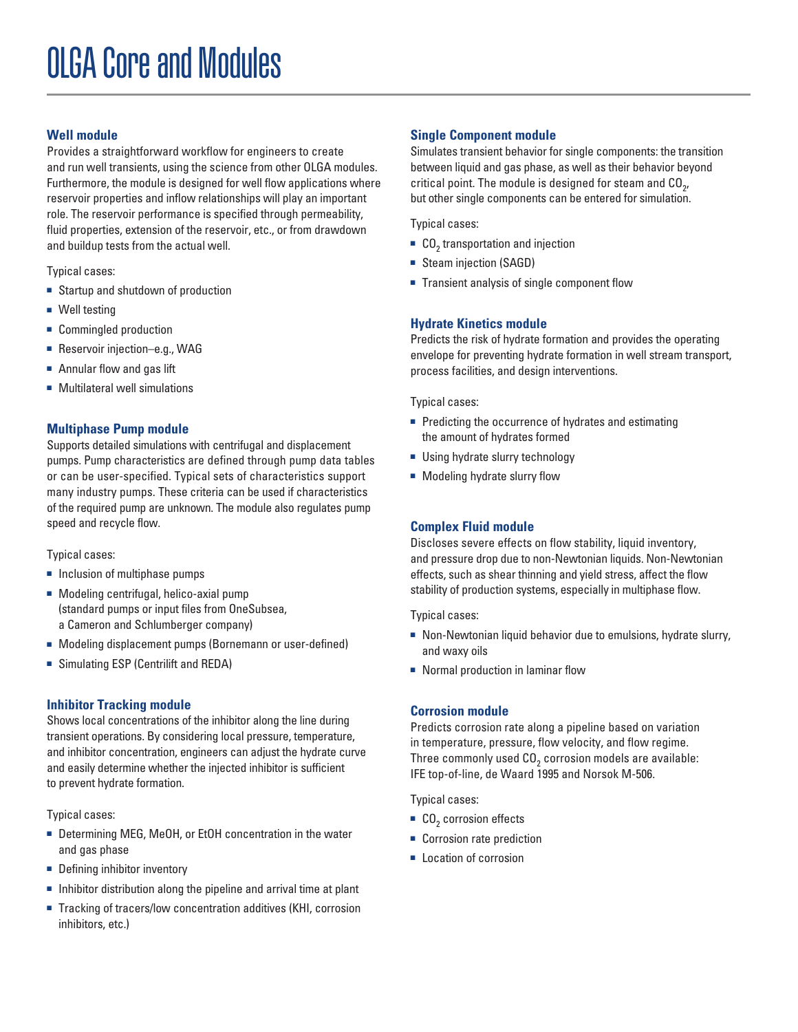# **Well module**

Provides a straightforward workflow for engineers to create and run well transients, using the science from other OLGA modules. Furthermore, the module is designed for well flow applications where reservoir properties and inflow relationships will play an important role. The reservoir performance is specified through permeability, fluid properties, extension of the reservoir, etc., or from drawdown and buildup tests from the actual well.

Typical cases:

- Startup and shutdown of production
- Well testing
- Commingled production
- Reservoir injection–e.g., WAG
- Annular flow and gas lift
- Multilateral well simulations

# **Multiphase Pump module**

Supports detailed simulations with centrifugal and displacement pumps. Pump characteristics are defined through pump data tables or can be user-specified. Typical sets of characteristics support many industry pumps. These criteria can be used if characteristics of the required pump are unknown. The module also regulates pump speed and recycle flow.

Typical cases:

- Inclusion of multiphase pumps
- Modeling centrifugal, helico-axial pump (standard pumps or input files from OneSubsea, a Cameron and Schlumberger company)
- Modeling displacement pumps (Bornemann or user-defined)
- Simulating ESP (Centrilift and REDA)

# **Inhibitor Tracking module**

Shows local concentrations of the inhibitor along the line during transient operations. By considering local pressure, temperature, and inhibitor concentration, engineers can adjust the hydrate curve and easily determine whether the injected inhibitor is sufficient to prevent hydrate formation.

Typical cases:

- Determining MEG, MeOH, or EtOH concentration in the water and gas phase
- Defining inhibitor inventory
- Inhibitor distribution along the pipeline and arrival time at plant
- Tracking of tracers/low concentration additives (KHI, corrosion inhibitors, etc.)

# **Single Component module**

Simulates transient behavior for single components: the transition between liquid and gas phase, as well as their behavior beyond critical point. The module is designed for steam and  $\mathtt{CO}_{2'}$ but other single components can be entered for simulation.

Typical cases:

- $\blacksquare$  CO<sub>2</sub> transportation and injection
- Steam injection (SAGD)
- Transient analysis of single component flow

# **Hydrate Kinetics module**

Predicts the risk of hydrate formation and provides the operating envelope for preventing hydrate formation in well stream transport, process facilities, and design interventions.

Typical cases:

- Predicting the occurrence of hydrates and estimating the amount of hydrates formed
- Using hydrate slurry technology
- Modeling hydrate slurry flow

# **Complex Fluid module**

Discloses severe effects on flow stability, liquid inventory, and pressure drop due to non-Newtonian liquids. Non-Newtonian effects, such as shear thinning and yield stress, affect the flow stability of production systems, especially in multiphase flow.

Typical cases:

- Non-Newtonian liquid behavior due to emulsions, hydrate slurry, and waxy oils
- Normal production in laminar flow

# **Corrosion module**

Predicts corrosion rate along a pipeline based on variation in temperature, pressure, flow velocity, and flow regime. Three commonly used CO $_{\text{2}}$  corrosion models are available: IFE top-of-line, de Waard 1995 and Norsok M-506.

Typical cases:

- $\blacksquare$  CO<sub>2</sub> corrosion effects
- Corrosion rate prediction
- Location of corrosion